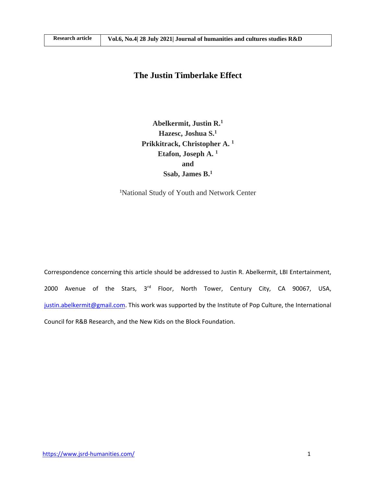# **The Justin Timberlake Effect**

**Abelkermit, Justin R.<sup>1</sup> Hazesc, Joshua S.<sup>1</sup> Prikkitrack, Christopher A. <sup>1</sup> Etafon, Joseph A. <sup>1</sup> and Ssab, James B.<sup>1</sup>**

<sup>1</sup>National Study of Youth and Network Center

Correspondence concerning this article should be addressed to Justin R. Abelkermit, LBI Entertainment, 2000 Avenue of the Stars, 3<sup>rd</sup> Floor, North Tower, Century City, CA 90067, USA, [justin.abelkermit@gmail.com.](mailto:justin.abelkermit@gmail.com) This work was supported by the Institute of Pop Culture, the International Council for R&B Research, and the New Kids on the Block Foundation.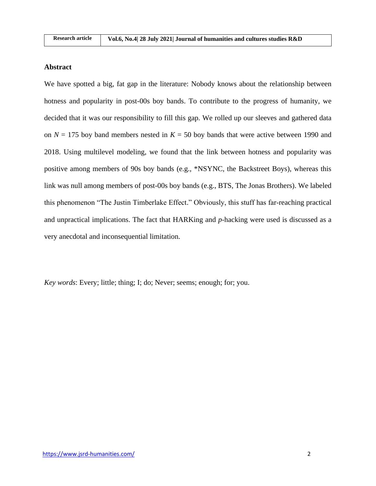### **Abstract**

We have spotted a big, fat gap in the literature: Nobody knows about the relationship between hotness and popularity in post-00s boy bands. To contribute to the progress of humanity, we decided that it was our responsibility to fill this gap. We rolled up our sleeves and gathered data on  $N = 175$  boy band members nested in  $K = 50$  boy bands that were active between 1990 and 2018. Using multilevel modeling, we found that the link between hotness and popularity was positive among members of 90s boy bands (e.g., \*NSYNC, the Backstreet Boys), whereas this link was null among members of post-00s boy bands (e.g., BTS, The Jonas Brothers). We labeled this phenomenon "The Justin Timberlake Effect." Obviously, this stuff has far-reaching practical and unpractical implications. The fact that HARKing and *p*-hacking were used is discussed as a very anecdotal and inconsequential limitation.

*Key words*: Every; little; thing; I; do; Never; seems; enough; for; you.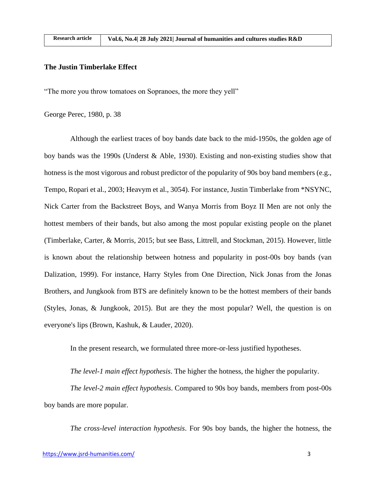$R = 1$ 

#### **The Justin Timberlake Effect**

"The more you throw tomatoes on Sopranoes, the more they yell"

George Perec, 1980, p. 38

Although the earliest traces of boy bands date back to the mid-1950s, the golden age of boy bands was the 1990s (Underst & Able, 1930). Existing and non-existing studies show that hotness is the most vigorous and robust predictor of the popularity of 90s boy band members (e.g., Tempo, Ropari et al., 2003; Heavym et al., 3054). For instance, Justin Timberlake from \*NSYNC, Nick Carter from the Backstreet Boys, and Wanya Morris from Boyz II Men are not only the hottest members of their bands, but also among the most popular existing people on the planet (Timberlake, Carter, & Morris, 2015; but see Bass, Littrell, and Stockman, 2015). However, little is known about the relationship between hotness and popularity in post-00s boy bands (van Dalization, 1999). For instance, Harry Styles from One Direction, Nick Jonas from the Jonas Brothers, and Jungkook from BTS are definitely known to be the hottest members of their bands (Styles, Jonas, & Jungkook, 2015). But are they the most popular? Well, the question is on everyone's lips (Brown, Kashuk, & Lauder, 2020).

In the present research, we formulated three more-or-less justified hypotheses.

*The level-1 main effect hypothesis*. The higher the hotness, the higher the popularity.

*The level-2 main effect hypothesis*. Compared to 90s boy bands, members from post-00s boy bands are more popular.

*The cross-level interaction hypothesis*. For 90s boy bands, the higher the hotness, the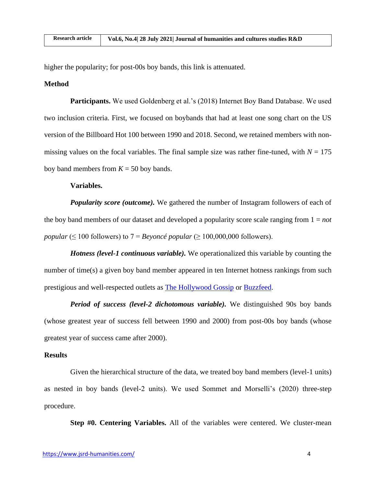higher the popularity; for post-00s boy bands, this link is attenuated.

### **Method**

**Participants.** We used Goldenberg et al.'s (2018) Internet Boy Band Database. We used two inclusion criteria. First, we focused on boybands that had at least one song chart on the US version of the Billboard Hot 100 between 1990 and 2018. Second, we retained members with nonmissing values on the focal variables. The final sample size was rather fine-tuned, with  $N = 175$ boy band members from  $K = 50$  boy bands.

# **Variables.**

*Popularity score (outcome)*. We gathered the number of Instagram followers of each of the boy band members of our dataset and developed a popularity score scale ranging from  $1 = not$ *popular* ( $\leq 100$  followers) to  $7 = Beyonc\acute{e}$  *popular* ( $\geq 100,000,000$  followers).

*Hotness (level-1 continuous variable).* We operationalized this variable by counting the number of time(s) a given boy band member appeared in ten Internet hotness rankings from such prestigious and well-respected outlets as [The Hollywood Gossip](https://www.thehollywoodgossip.com/slideshows/17-hottest-boy-band-members-of-all-time/) or [Buzzfeed.](https://www.buzzfeed.com/mjs538/the-top-40-90s-boy-band-members-ranked-by-curren)

*Period of success (level-2 dichotomous variable).* We distinguished 90s boy bands (whose greatest year of success fell between 1990 and 2000) from post-00s boy bands (whose greatest year of success came after 2000).

# **Results**

Given the hierarchical structure of the data, we treated boy band members (level-1 units) as nested in boy bands (level-2 units). We used Sommet and Morselli's (2020) three-step procedure.

**Step #0. Centering Variables.** All of the variables were centered. We cluster-mean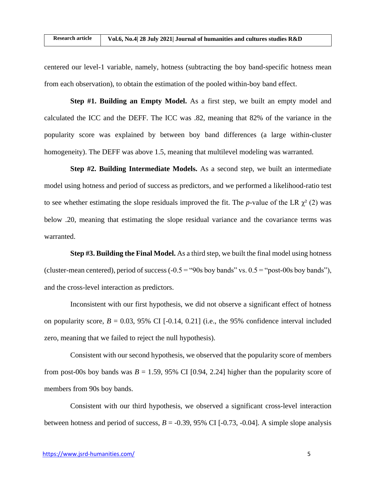centered our level-1 variable, namely, hotness (subtracting the boy band-specific hotness mean from each observation), to obtain the estimation of the pooled within-boy band effect.

**Step #1. Building an Empty Model.** As a first step, we built an empty model and calculated the ICC and the DEFF. The ICC was .82, meaning that 82% of the variance in the popularity score was explained by between boy band differences (a large within-cluster homogeneity). The DEFF was above 1.5, meaning that multilevel modeling was warranted.

**Step #2. Building Intermediate Models.** As a second step, we built an intermediate model using hotness and period of success as predictors, and we performed a likelihood-ratio test to see whether estimating the slope residuals improved the fit. The *p*-value of the LR  $\chi^2$  (2) was below .20, meaning that estimating the slope residual variance and the covariance terms was warranted.

**Step #3. Building the Final Model.** As a third step, we built the final model using hotness (cluster-mean centered), period of success  $(-0.5 = "90s$  boy bands" vs.  $0.5 = "post-00s$  boy bands"), and the cross-level interaction as predictors.

Inconsistent with our first hypothesis, we did not observe a significant effect of hotness on popularity score,  $B = 0.03, 95\%$  CI [-0.14, 0.21] (i.e., the 95% confidence interval included zero, meaning that we failed to reject the null hypothesis).

Consistent with our second hypothesis, we observed that the popularity score of members from post-00s boy bands was  $B = 1.59$ , 95% CI [0.94, 2.24] higher than the popularity score of members from 90s boy bands.

Consistent with our third hypothesis, we observed a significant cross-level interaction between hotness and period of success,  $B = -0.39$ , 95% CI [ $-0.73$ ,  $-0.04$ ]. A simple slope analysis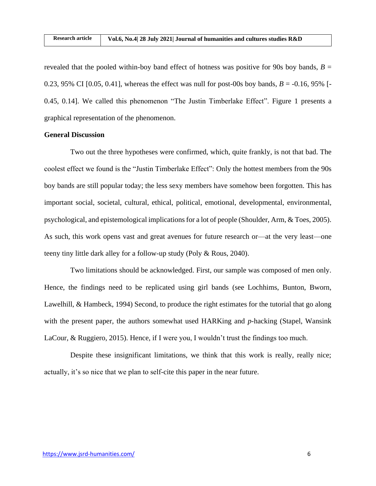revealed that the pooled within-boy band effect of hotness was positive for 90s boy bands,  $B =$ 0.23, 95% CI [0.05, 0.41], whereas the effect was null for post-00s boy bands,  $B = -0.16$ , 95% [-0.45, 0.14]. We called this phenomenon "The Justin Timberlake Effect". Figure 1 presents a graphical representation of the phenomenon.

## **General Discussion**

Two out the three hypotheses were confirmed, which, quite frankly, is not that bad. The coolest effect we found is the "Justin Timberlake Effect": Only the hottest members from the 90s boy bands are still popular today; the less sexy members have somehow been forgotten. This has important social, societal, cultural, ethical, political, emotional, developmental, environmental, psychological, and epistemological implications for a lot of people (Shoulder, Arm, & Toes, 2005). As such, this work opens vast and great avenues for future research or—at the very least—one teeny tiny little dark alley for a follow-up study (Poly & Rous, 2040).

Two limitations should be acknowledged. First, our sample was composed of men only. Hence, the findings need to be replicated using girl bands (see Lochhims, Bunton, Bworn, Lawelhill, & Hambeck, 1994) Second, to produce the right estimates for the tutorial that go along with the present paper, the authors somewhat used HARKing and *p*-hacking (Stapel, Wansink LaCour, & Ruggiero, 2015). Hence, if I were you, I wouldn't trust the findings too much.

Despite these insignificant limitations, we think that this work is really, really nice; actually, it's so nice that we plan to self-cite this paper in the near future.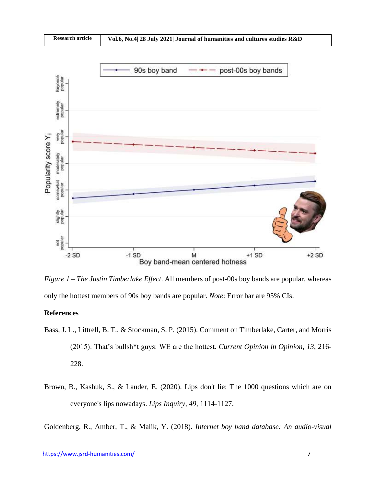

*Figure 1 – The Justin Timberlake Effect*. All members of post-00s boy bands are popular, whereas only the hottest members of 90s boy bands are popular. *Note*: Error bar are 95% CIs.

## **References**

- Bass, J. L., Littrell, B. T., & Stockman, S. P. (2015). Comment on Timberlake, Carter, and Morris (2015): That's bullsh\*t guys: WE are the hottest. *Current Opinion in Opinion*, *13*, 216- 228.
- Brown, B., Kashuk, S., & Lauder, E. (2020). Lips don't lie: The 1000 questions which are on everyone's lips nowadays. *Lips Inquiry*, *49*, 1114-1127.

Goldenberg, R., Amber, T., & Malik, Y. (2018). *Internet boy band database: An audio-visual*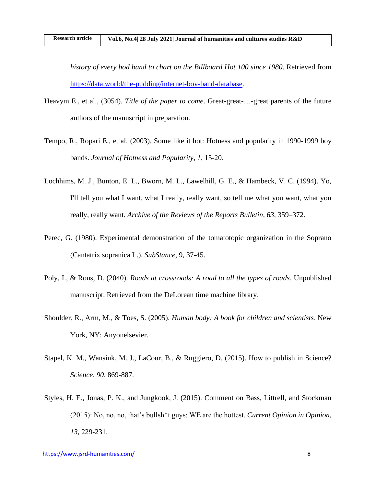*history of every bod band to chart on the Billboard Hot 100 since 1980*. Retrieved from [https://data.world/the-pudding/internet-boy-band-database.](https://data.world/the-pudding/internet-boy-band-database)

- Heavym E., et al., (3054). *Title of the paper to come*. Great-great-…-great parents of the future authors of the manuscript in preparation.
- Tempo, R., Ropari E., et al. (2003). Some like it hot: Hotness and popularity in 1990-1999 boy bands. *Journal of Hotness and Popularity*, *1*, 15-20.
- Lochhims, M. J., Bunton, E. L., Bworn, M. L., Lawelhill, G. E., & Hambeck, V. C. (1994). Yo, I'll tell you what I want, what I really, really want, so tell me what you want, what you really, really want. *Archive of the Reviews of the Reports Bulletin*, *63*, 359–372.
- Perec, G. (1980). Experimental demonstration of the tomatotopic organization in the Soprano (Cantatrix sopranica L.). *SubStance*, 9, 37-45.
- Poly, I., & Rous, D. (2040). *Roads at crossroads: A road to all the types of roads.* Unpublished manuscript. Retrieved from the DeLorean time machine library.
- Shoulder, R., Arm, M., & Toes, S. (2005). *Human body: A book for children and scientists*. New York, NY: Anyonelsevier.
- Stapel, K. M., Wansink, M. J., LaCour, B., & Ruggiero, D. (2015). How to publish in Science? *Science*, *90*, 869-887.
- Styles, H. E., Jonas, P. K., and Jungkook, J. (2015). Comment on Bass, Littrell, and Stockman (2015): No, no, no, that's bullsh\*t guys: WE are the hottest. *Current Opinion in Opinion*, *13*, 229-231.